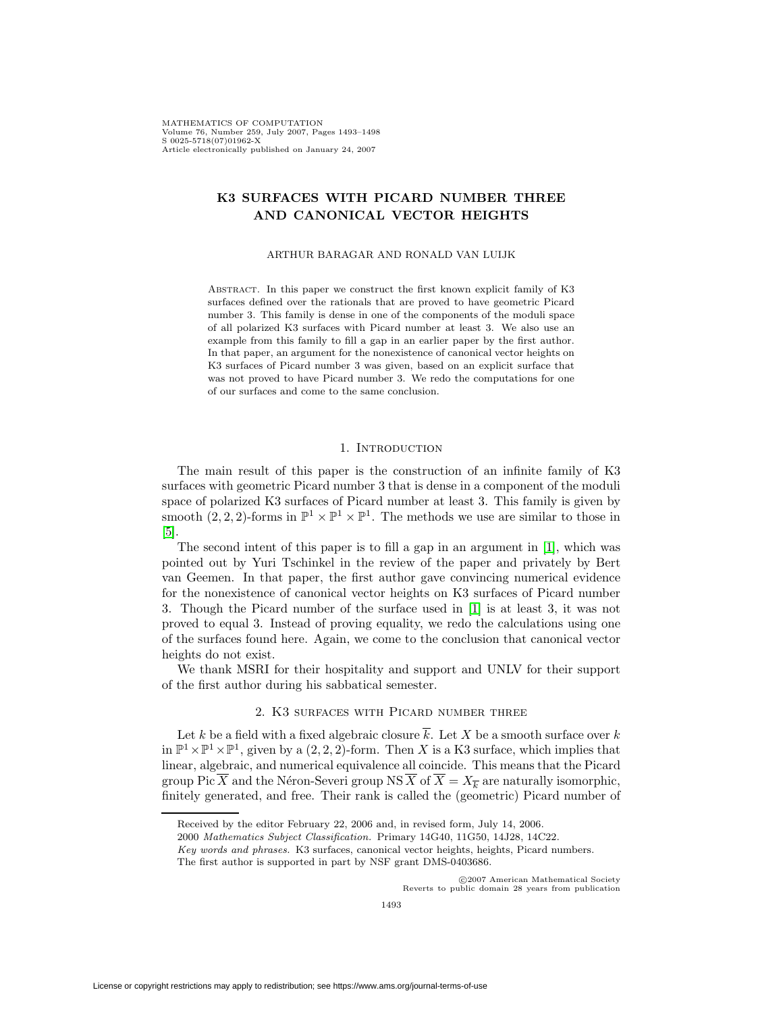# **K3 SURFACES WITH PICARD NUMBER THREE AND CANONICAL VECTOR HEIGHTS**

### ARTHUR BARAGAR AND RONALD VAN LUIJK

ABSTRACT. In this paper we construct the first known explicit family of K3 surfaces defined over the rationals that are proved to have geometric Picard number 3. This family is dense in one of the components of the moduli space of all polarized K3 surfaces with Picard number at least 3. We also use an example from this family to fill a gap in an earlier paper by the first author. In that paper, an argument for the nonexistence of canonical vector heights on K3 surfaces of Picard number 3 was given, based on an explicit surface that was not proved to have Picard number 3. We redo the computations for one of our surfaces and come to the same conclusion.

## 1. INTRODUCTION

The main result of this paper is the construction of an infinite family of K3 surfaces with geometric Picard number 3 that is dense in a component of the moduli space of polarized K3 surfaces of Picard number at least 3. This family is given by smooth  $(2, 2, 2)$ -forms in  $\mathbb{P}^1 \times \mathbb{P}^1 \times \mathbb{P}^1$ . The methods we use are similar to those in [\[5\]](#page-5-0).

The second intent of this paper is to fill a gap in an argument in [\[1\]](#page-5-1), which was pointed out by Yuri Tschinkel in the review of the paper and privately by Bert van Geemen. In that paper, the first author gave convincing numerical evidence for the nonexistence of canonical vector heights on K3 surfaces of Picard number 3. Though the Picard number of the surface used in [\[1\]](#page-5-1) is at least 3, it was not proved to equal 3. Instead of proving equality, we redo the calculations using one of the surfaces found here. Again, we come to the conclusion that canonical vector heights do not exist.

We thank MSRI for their hospitality and support and UNLV for their support of the first author during his sabbatical semester.

## 2. K3 surfaces with Picard number three

Let k be a field with a fixed algebraic closure  $\overline{k}$ . Let X be a smooth surface over k in  $\mathbb{P}^1 \times \mathbb{P}^1 \times \mathbb{P}^1$ , given by a  $(2, 2, 2)$ -form. Then X is a K3 surface, which implies that linear, algebraic, and numerical equivalence all coincide. This means that the Picard group Pic  $\overline{X}$  and the Néron-Severi group NS  $\overline{X}$  of  $\overline{X} = X_{\overline{k}}$  are naturally isomorphic, finitely generated, and free. Their rank is called the (geometric) Picard number of

c 2007 American Mathematical Society Reverts to public domain 28 years from publication

Received by the editor February 22, 2006 and, in revised form, July 14, 2006.

<sup>2000</sup> Mathematics Subject Classification. Primary 14G40, 11G50, 14J28, 14C22.

Key words and phrases. K3 surfaces, canonical vector heights, heights, Picard numbers.

The first author is supported in part by NSF grant DMS-0403686.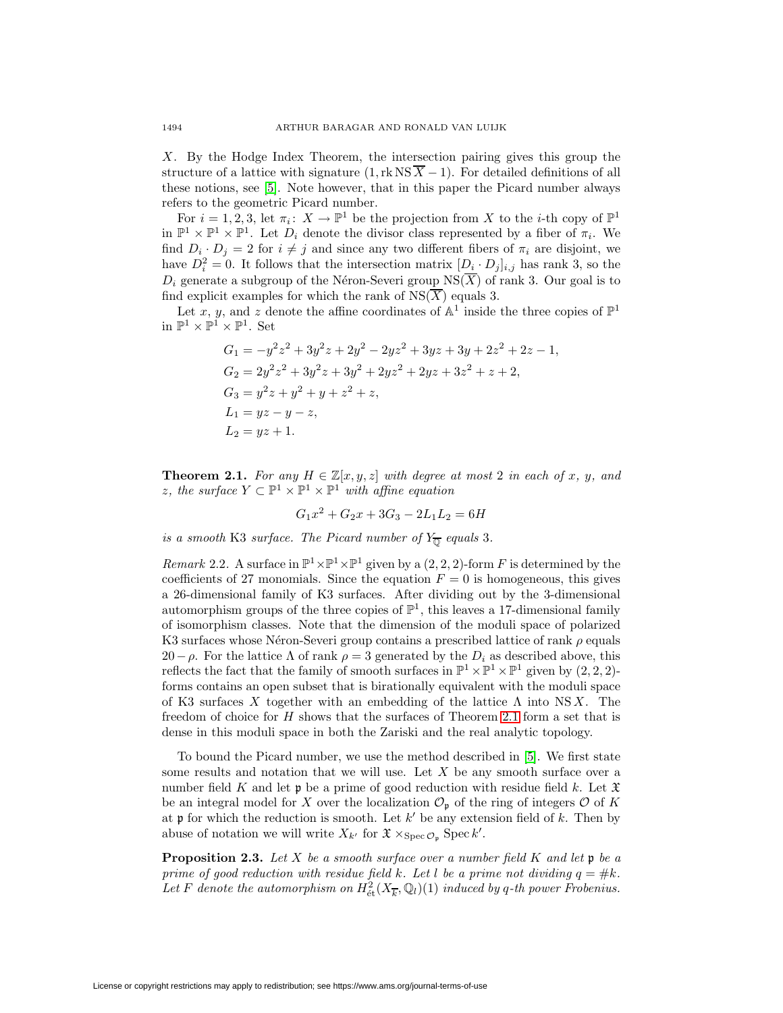X. By the Hodge Index Theorem, the intersection pairing gives this group the structure of a lattice with signature  $(1, \text{rk}\,\text{NS}\,\overline{X} - 1)$ . For detailed definitions of all these notions, see [\[5\]](#page-5-0). Note however, that in this paper the Picard number always refers to the geometric Picard number.

For  $i = 1, 2, 3$ , let  $\pi_i : X \to \mathbb{P}^1$  be the projection from X to the *i*-th copy of  $\mathbb{P}^1$ in  $\mathbb{P}^1 \times \mathbb{P}^1 \times \mathbb{P}^1$ . Let  $D_i$  denote the divisor class represented by a fiber of  $\pi_i$ . We find  $D_i \cdot D_j = 2$  for  $i \neq j$  and since any two different fibers of  $\pi_i$  are disjoint, we have  $D_i^2 = 0$ . It follows that the intersection matrix  $[D_i \cdot D_j]_{i,j}$  has rank 3, so the  $D_i$  generate a subgroup of the Néron-Severi group NS( $\overline{X}$ ) of rank 3. Our goal is to find explicit examples for which the rank of  $NS(\overline{X})$  equals 3.

Let x, y, and z denote the affine coordinates of  $\mathbb{A}^1$  inside the three copies of  $\mathbb{P}^1$ in  $\mathbb{P}^1 \times \mathbb{P}^1 \times \mathbb{P}^1.$  Set

$$
G_1 = -y^2z^2 + 3y^2z + 2y^2 - 2yz^2 + 3yz + 3y + 2z^2 + 2z - 1,
$$
  
\n
$$
G_2 = 2y^2z^2 + 3y^2z + 3y^2 + 2yz^2 + 2yz + 3z^2 + z + 2,
$$
  
\n
$$
G_3 = y^2z + y^2 + y + z^2 + z,
$$
  
\n
$$
L_1 = yz - y - z,
$$
  
\n
$$
L_2 = yz + 1.
$$

<span id="page-1-0"></span>**Theorem 2.1.** For any  $H \in \mathbb{Z}[x, y, z]$  with degree at most 2 in each of x, y, and z, the surface  $Y \subset \mathbb{P}^1 \times \mathbb{P}^1 \times \mathbb{P}^1$  with affine equation

$$
G_1x^2 + G_2x + 3G_3 - 2L_1L_2 = 6H
$$

is a smooth K3 surface. The Picard number of  $Y_{\overline{\mathbb{Q}}}$  equals 3.

Remark 2.2. A surface in  $\mathbb{P}^1 \times \mathbb{P}^1 \times \mathbb{P}^1$  given by a  $(2, 2, 2)$ -form F is determined by the coefficients of 27 monomials. Since the equation  $F = 0$  is homogeneous, this gives a 26-dimensional family of K3 surfaces. After dividing out by the 3-dimensional automorphism groups of the three copies of  $\mathbb{P}^1$ , this leaves a 17-dimensional family of isomorphism classes. Note that the dimension of the moduli space of polarized K3 surfaces whose Néron-Severi group contains a prescribed lattice of rank  $\rho$  equals 20−ρ. For the lattice  $\Lambda$  of rank  $\rho = 3$  generated by the  $D_i$  as described above, this reflects the fact that the family of smooth surfaces in  $\mathbb{P}^1 \times \mathbb{P}^1 \times \mathbb{P}^1$  given by  $(2, 2, 2)$ forms contains an open subset that is birationally equivalent with the moduli space of K3 surfaces X together with an embedding of the lattice  $\Lambda$  into NSX. The freedom of choice for H shows that the surfaces of Theorem [2.1](#page-1-0) form a set that is dense in this moduli space in both the Zariski and the real analytic topology.

To bound the Picard number, we use the method described in [\[5\]](#page-5-0). We first state some results and notation that we will use. Let  $X$  be any smooth surface over a number field K and let  $\mathfrak p$  be a prime of good reduction with residue field k. Let  $\mathfrak X$ be an integral model for X over the localization  $\mathcal{O}_{p}$  of the ring of integers  $\mathcal{O}$  of K at  $\mathfrak p$  for which the reduction is smooth. Let  $k'$  be any extension field of k. Then by abuse of notation we will write  $X_{k'}$  for  $\mathfrak{X} \times_{\text{Spec } \mathcal{O}_{\mathfrak{p}}} \text{Spec } k'.$ 

<span id="page-1-1"></span>**Proposition 2.3.** Let X be a smooth surface over a number field K and let  $\mathfrak{p}$  be a prime of good reduction with residue field k. Let l be a prime not dividing  $q = #k$ . Let F denote the automorphism on  $H^2_{\text{\'et}}(X_{\overline{k}}, \mathbb{Q}_l)(1)$  induced by q-th power Frobenius.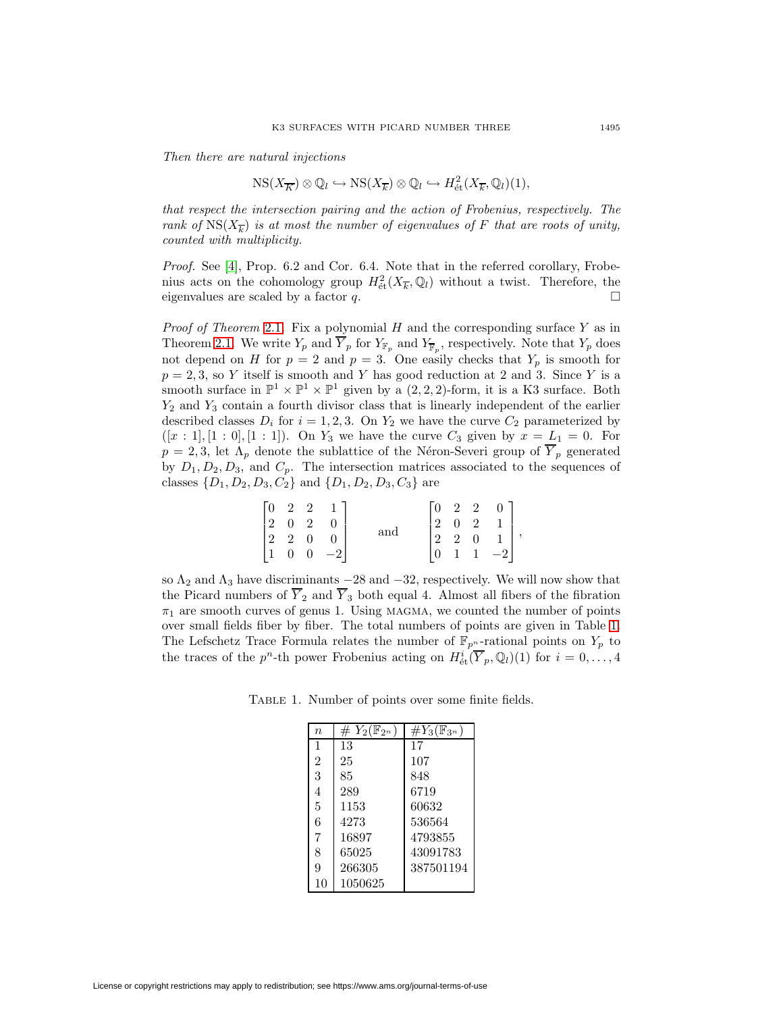Then there are natural injections

$$
NS(X_{\overline{K}}) \otimes \mathbb{Q}_l \hookrightarrow NS(X_{\overline{k}}) \otimes \mathbb{Q}_l \hookrightarrow H^2_{\text{\'et}}(X_{\overline{k}}, \mathbb{Q}_l)(1),
$$

that respect the intersection pairing and the action of Frobenius, respectively. The rank of  $NS(X_{\overline{k}})$  is at most the number of eigenvalues of F that are roots of unity, counted with multiplicity.

Proof. See [\[4\]](#page-5-2), Prop. 6.2 and Cor. 6.4. Note that in the referred corollary, Frobenius acts on the cohomology group  $H^2_{\text{\'et}}(X_{\overline{k}},\mathbb{Q}_l)$  without a twist. Therefore, the eigenvalues are scaled by a factor q.

*Proof of Theorem* [2.1](#page-1-0). Fix a polynomial  $H$  and the corresponding surface  $Y$  as in Theorem [2.1.](#page-1-0) We write  $Y_p$  and  $\overline{Y}_p$  for  $Y_{\mathbb{F}_p}$  and  $Y_{\overline{\mathbb{F}}_p}$ , respectively. Note that  $Y_p$  does not depend on H for  $p = 2$  and  $p = 3$ . One easily checks that  $Y_p$  is smooth for  $p = 2, 3$ , so Y itself is smooth and Y has good reduction at 2 and 3. Since Y is a smooth surface in  $\mathbb{P}^1 \times \mathbb{P}^1 \times \mathbb{P}^1$  given by a  $(2, 2, 2)$ -form, it is a K3 surface. Both  $Y_2$  and  $Y_3$  contain a fourth divisor class that is linearly independent of the earlier described classes  $D_i$  for  $i = 1, 2, 3$ . On  $Y_2$  we have the curve  $C_2$  parameterized by  $([x : 1], [1 : 0], [1 : 1]).$  On  $Y_3$  we have the curve  $C_3$  given by  $x = L_1 = 0$ . For  $p = 2, 3$ , let  $\Lambda_p$  denote the sublattice of the Néron-Severi group of  $\overline{Y}_p$  generated by  $D_1, D_2, D_3$ , and  $C_p$ . The intersection matrices associated to the sequences of classes  $\{D_1, D_2, D_3, C_2\}$  and  $\{D_1, D_2, D_3, C_3\}$  are

|                                                                                  |  |      |     |               | $\begin{bmatrix} 0 & 2 & 2 \end{bmatrix}$              |              | $\begin{matrix}0\end{matrix}$                |  |
|----------------------------------------------------------------------------------|--|------|-----|---------------|--------------------------------------------------------|--------------|----------------------------------------------|--|
|                                                                                  |  |      |     |               | $\begin{vmatrix} 2 & 0 & 2 \\ 2 & 2 & 0 \end{vmatrix}$ |              |                                              |  |
|                                                                                  |  |      | and |               |                                                        |              |                                              |  |
| $\begin{bmatrix} 0 & 2 & 2 \\ 2 & 0 & 2 \\ 2 & 2 & 0 \\ 1 & 0 & 0 \end{bmatrix}$ |  | $-2$ |     | $\mid 0 \mid$ |                                                        | $\mathbf{1}$ | $\begin{bmatrix} 1 \\ 1 \\ -2 \end{bmatrix}$ |  |

so  $\Lambda_2$  and  $\Lambda_3$  have discriminants  $-28$  and  $-32$ , respectively. We will now show that the Picard numbers of  $\overline{Y}_2$  and  $\overline{Y}_3$  both equal 4. Almost all fibers of the fibration  $\pi_1$  are smooth curves of genus 1. Using MAGMA, we counted the number of points over small fields fiber by fiber. The total numbers of points are given in Table [1.](#page-2-0) The Lefschetz Trace Formula relates the number of  $\mathbb{F}_{p^n}$ -rational points on  $Y_p$  to the traces of the  $p^n$ -th power Frobenius acting on  $H^i_{\text{\'et}}(\overline{Y}_p, \mathbb{Q}_l)(1)$  for  $i = 0, \ldots, 4$ 

<span id="page-2-0"></span>Table 1. Number of points over some finite fields.

| $\overline{n}$ | $\# Y_2(\mathbb{F}_{2^n})$ | $\#Y_3(\mathbb{F}_{3^n})$ |
|----------------|----------------------------|---------------------------|
| $\mathbf{1}$   | 13                         | 17                        |
| $\overline{2}$ | 25                         | 107                       |
| 3              | 85                         | 848                       |
| 4              | 289                        | 6719                      |
| 5              | 1153                       | 60632                     |
| 6              | 4273                       | 536564                    |
| 7              | 16897                      | 4793855                   |
| 8              | 65025                      | 43091783                  |
| 9              | 266305                     | 387501194                 |
| 10             | 1050625                    |                           |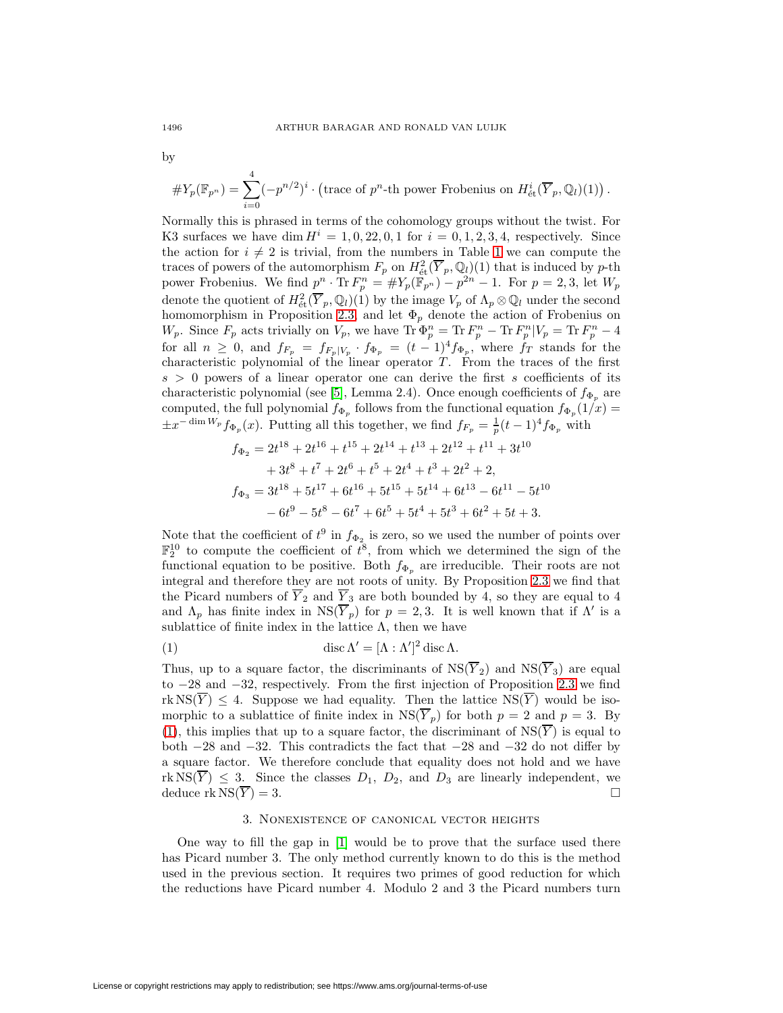$$
\#Y_p(\mathbb{F}_{p^n}) = \sum_{i=0}^4 (-p^{n/2})^i \cdot \left(\text{trace of } p^n\text{-th power Frobenius on } H^i_{\text{\'et}}(\overline{Y}_p, \mathbb{Q}_l)(1)\right).
$$

Normally this is phrased in terms of the cohomology groups without the twist. For K3 surfaces we have dim  $H^{i} = 1, 0, 22, 0, 1$  for  $i = 0, 1, 2, 3, 4$ , respectively. Since the action for  $i \neq 2$  is trivial, from the numbers in Table [1](#page-2-0) we can compute the traces of powers of the automorphism  $F_p$  on  $H^2_{\text{\textup{\'et}}}(V_p, \mathbb{Q}_l)(1)$  that is induced by p-th power Frobenius. We find  $p^n \cdot \text{Tr } F_p^n = \#Y_p(\mathbb{F}_{p^n}) - p^{2n} - 1$ . For  $p = 2, 3$ , let  $W_p$ denote the quotient of  $H^2_{\text{\'et}}(\overline{Y}_p, \mathbb{Q}_l)(1)$  by the image  $V_p$  of  $\Lambda_p \otimes \mathbb{Q}_l$  under the second homomorphism in Proposition [2.3,](#page-1-1) and let  $\Phi_p$  denote the action of Frobenius on  $W_p$ . Since  $F_p$  acts trivially on  $V_p$ , we have  $\text{Tr}\,\Phi_p^n = \text{Tr}\,F_p^n - \text{Tr}\,F_p^n | V_p = \text{Tr}\,F_p^n - 4$ for all  $n \geq 0$ , and  $f_{F_p} = f_{F_p|V_p} \cdot f_{\Phi_p} = (t-1)^4 f_{\Phi_p}$ , where  $f_T$  stands for the characteristic polynomial of the linear operator  $T$ . From the traces of the first  $s > 0$  powers of a linear operator one can derive the first s coefficients of its characteristic polynomial (see [\[5\]](#page-5-0), Lemma 2.4). Once enough coefficients of  $f_{\Phi_p}$  are computed, the full polynomial  $f_{\Phi_p}$  follows from the functional equation  $f_{\Phi_p}(1/x)$  =  $\pm x^{-\dim W_p} f_{\Phi_p}(x)$ . Putting all this together, we find  $f_{F_p} = \frac{1}{p}(t-1)^4 f_{\Phi_p}$  with

$$
f_{\Phi_2} = 2t^{18} + 2t^{16} + t^{15} + 2t^{14} + t^{13} + 2t^{12} + t^{11} + 3t^{10}
$$
  
+ 
$$
3t^8 + t^7 + 2t^6 + t^5 + 2t^4 + t^3 + 2t^2 + 2,
$$
  

$$
f_{\Phi_3} = 3t^{18} + 5t^{17} + 6t^{16} + 5t^{15} + 5t^{14} + 6t^{13} - 6t^{11} - 5t^{10}
$$
  
- 
$$
6t^9 - 5t^8 - 6t^7 + 6t^5 + 5t^4 + 5t^3 + 6t^2 + 5t + 3.
$$

Note that the coefficient of  $t^9$  in  $f_{\Phi_2}$  is zero, so we used the number of points over  $\mathbb{F}_2^{10}$  to compute the coefficient of  $t^8$ , from which we determined the sign of the functional equation to be positive. Both  $f_{\Phi_n}$  are irreducible. Their roots are not integral and therefore they are not roots of unity. By Proposition [2.3](#page-1-1) we find that the Picard numbers of  $\overline{Y}_2$  and  $\overline{Y}_3$  are both bounded by 4, so they are equal to 4 and  $\Lambda_p$  has finite index in  $NS(\overline{Y}_p)$  for  $p=2,3$ . It is well known that if  $\Lambda'$  is a sublattice of finite index in the lattice  $\Lambda$ , then we have

<span id="page-3-0"></span>(1) 
$$
\operatorname{disc}\Lambda'=[\Lambda:\Lambda']^2\operatorname{disc}\Lambda.
$$

Thus, up to a square factor, the discriminants of  $NS(\overline{Y}_2)$  and  $NS(\overline{Y}_3)$  are equal to −28 and −32, respectively. From the first injection of Proposition [2.3](#page-1-1) we find  $rk NS(\overline{Y}) \leq 4$ . Suppose we had equality. Then the lattice  $NS(\overline{Y})$  would be isomorphic to a sublattice of finite index in  $NS(\overline{Y}_p)$  for both  $p = 2$  and  $p = 3$ . By [\(1\)](#page-3-0), this implies that up to a square factor, the discriminant of  $NS(\overline{Y})$  is equal to both −28 and −32. This contradicts the fact that −28 and −32 do not differ by a square factor. We therefore conclude that equality does not hold and we have  $rk NS(\overline{Y}) \leq 3$ . Since the classes  $D_1, D_2$ , and  $D_3$  are linearly independent, we deduce  $\text{rk}\,\text{NS}(\overline{Y}) = 3.$ 

#### 3. Nonexistence of canonical vector heights

One way to fill the gap in [\[1\]](#page-5-1) would be to prove that the surface used there has Picard number 3. The only method currently known to do this is the method used in the previous section. It requires two primes of good reduction for which the reductions have Picard number 4. Modulo 2 and 3 the Picard numbers turn

by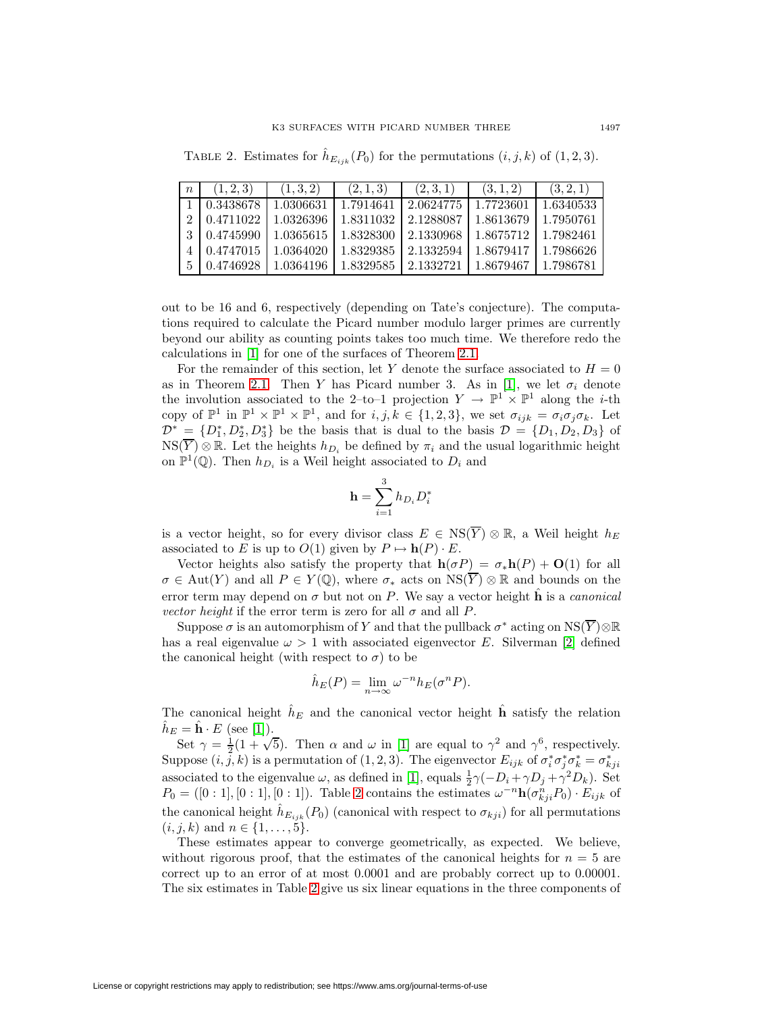TABLE 2. Estimates for  $\hat{h}_{E_{ijk}}(P_0)$  for the permutations  $(i, j, k)$  of  $(1, 2, 3)$ .

<span id="page-4-0"></span>

| $\boldsymbol{n}$ | (1, 2, 3) | (1,3,2)   | (2,1,3)   | (2,3,1)   | (3, 1, 2) | (3, 2, 1) |
|------------------|-----------|-----------|-----------|-----------|-----------|-----------|
|                  | 0.3438678 | 1.0306631 | 1.7914641 | 2.0624775 | 1.7723601 | 1.6340533 |
|                  | 0.4711022 | 1.0326396 | 1.8311032 | 2.1288087 | 1.8613679 | 1.7950761 |
|                  | 0.4745990 | 1.0365615 | 1.8328300 | 2.1330968 | 1.8675712 | 1.7982461 |
|                  | 0.4747015 | 1.0364020 | 1.8329385 | 2.1332594 | 1.8679417 | 1.7986626 |
| 5                | 0.4746928 | 1.0364196 | 1.8329585 | 2.1332721 | 1.8679467 | 1.7986781 |

out to be 16 and 6, respectively (depending on Tate's conjecture). The computations required to calculate the Picard number modulo larger primes are currently beyond our ability as counting points takes too much time. We therefore redo the calculations in [\[1\]](#page-5-1) for one of the surfaces of Theorem [2.1.](#page-1-0)

For the remainder of this section, let Y denote the surface associated to  $H = 0$ as in Theorem [2.1.](#page-1-0) Then Y has Picard number 3. As in [\[1\]](#page-5-1), we let  $\sigma_i$  denote the involution associated to the 2–to–1 projection  $Y \to \mathbb{P}^1 \times \mathbb{P}^1$  along the *i*-th copy of  $\mathbb{P}^1$  in  $\mathbb{P}^1 \times \mathbb{P}^1 \times \mathbb{P}^1$ , and for  $i, j, k \in \{1, 2, 3\}$ , we set  $\sigma_{ijk} = \sigma_i \sigma_j \sigma_k$ . Let  $\mathcal{D}^* = \{D_1^*, D_2^*, D_3^*\}\$ be the basis that is dual to the basis  $\mathcal{D} = \{D_1, D_2, D_3\}$  of  $NS(\overline{Y})\otimes \mathbb{R}$ . Let the heights  $h_{D_i}$  be defined by  $\pi_i$  and the usual logarithmic height on  $\mathbb{P}^1(\mathbb{Q})$ . Then  $h_{D_i}$  is a Weil height associated to  $D_i$  and

$$
\mathbf{h} = \sum_{i=1}^{3} h_{D_i} D_i^*
$$

is a vector height, so for every divisor class  $E \in \text{NS}(\overline{Y}) \otimes \mathbb{R}$ , a Weil height  $h_E$ associated to E is up to  $O(1)$  given by  $P \mapsto h(P) \cdot E$ .

Vector heights also satisfy the property that  $h(\sigma P) = \sigma_* h(P) + O(1)$  for all  $\sigma \in \text{Aut}(Y)$  and all  $P \in Y(\mathbb{Q})$ , where  $\sigma_*$  acts on  $\text{NS}(\overline{Y}) \otimes \mathbb{R}$  and bounds on the error term may depend on  $\sigma$  but not on P. We say a vector height  $\hat{\bf h}$  is a *canonical* vector height if the error term is zero for all  $\sigma$  and all P.

Suppose  $\sigma$  is an automorphism of Y and that the pullback  $\sigma^*$  acting on  $NS(\overline{Y})\otimes\mathbb{R}$ has a real eigenvalue  $\omega > 1$  with associated eigenvector E. Silverman [\[2\]](#page-5-3) defined the canonical height (with respect to  $\sigma$ ) to be

$$
\hat{h}_E(P) = \lim_{n \to \infty} \omega^{-n} h_E(\sigma^n P).
$$

The canonical height  $\hat{h}_E$  and the canonical vector height  $\hat{h}$  satisfy the relation  $h_E = \mathbf{h} \cdot E$  (see [\[1\]](#page-5-1)).

Set  $\gamma = \frac{1}{2}(1 + \sqrt{5})$ . Then  $\alpha$  and  $\omega$  in [\[1\]](#page-5-1) are equal to  $\gamma^2$  and  $\gamma^6$ , respectively. Suppose  $(i, j, k)$  is a permutation of  $(1, 2, 3)$ . The eigenvector  $E_{ijk}$  of  $\sigma_i^* \sigma_j^* \sigma_k^* = \sigma_{kji}^*$ associated to the eigenvalue  $\omega$ , as defined in [\[1\]](#page-5-1), equals  $\frac{1}{2}\gamma(-D_i + \gamma D_j + \gamma^2 D_k)$ . Set  $P_0 = ([0:1],[0:1],[0:1])$ . Table [2](#page-4-0) contains the estimates  $\omega^{-n} \mathbf{h}(\sigma_{kji}^n P_0) \cdot E_{ijk}$  of the canonical height  $h_{E_{ijk}}(P_0)$  (canonical with respect to  $\sigma_{kji}$ ) for all permutations  $(i, j, k)$  and  $n \in \{1, \ldots, 5\}.$ 

These estimates appear to converge geometrically, as expected. We believe, without rigorous proof, that the estimates of the canonical heights for  $n = 5$  are correct up to an error of at most 0.0001 and are probably correct up to 0.00001. The six estimates in Table [2](#page-4-0) give us six linear equations in the three components of